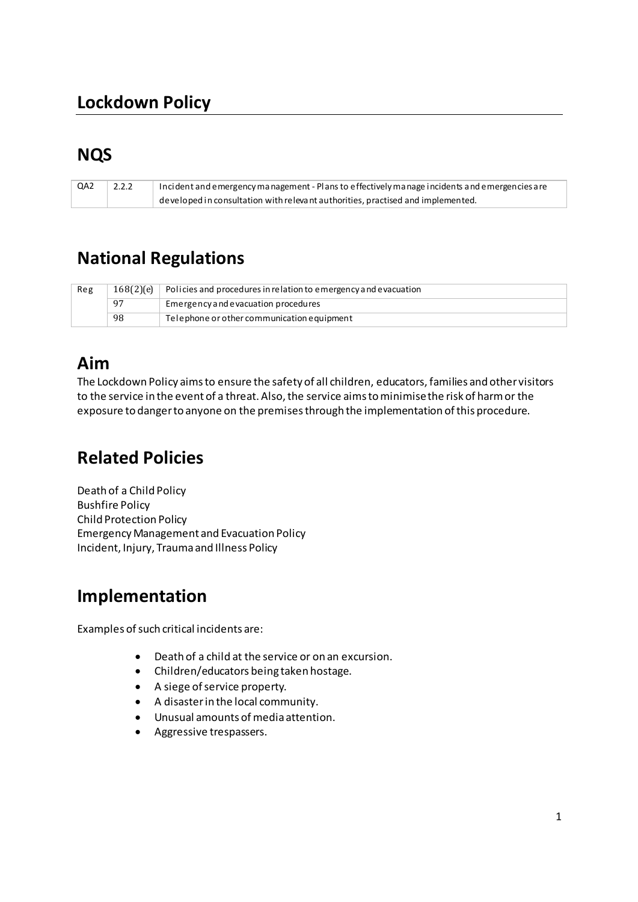## **Lockdown Policy**

### **NQS**

| QA2 | 2.2.2 | Incident and emergency management - Plans to effectively manage incidents and emergencies are |
|-----|-------|-----------------------------------------------------------------------------------------------|
|     |       | $\alpha$ developed in consultation with relevant authorities, practised and implemented.      |

## **National Regulations**

| Reg |    | $168(2)$ (e) Policies and procedures in relation to emergency and evacuation |
|-----|----|------------------------------------------------------------------------------|
|     | 97 | Emergency and evacuation procedures                                          |
|     | 98 | Telephone or other communication equipment                                   |

### **Aim**

The Lockdown Policy aims to ensure the safety of all children, educators, families and other visitors to the service in the event of a threat. Also, the service aims to minimise the risk of harm or the exposure to danger to anyone on the premises through the implementation of this procedure.

# **Related Policies**

Death of a Child Policy Bushfire Policy Child Protection Policy Emergency Management and Evacuation Policy Incident, Injury, Trauma and Illness Policy

### **Implementation**

Examples of such critical incidents are:

- Death of a child at the service or on an excursion.
- Children/educators being taken hostage.
- A siege of service property.
- A disaster in the local community.
- Unusual amounts of media attention.
- Aggressive trespassers.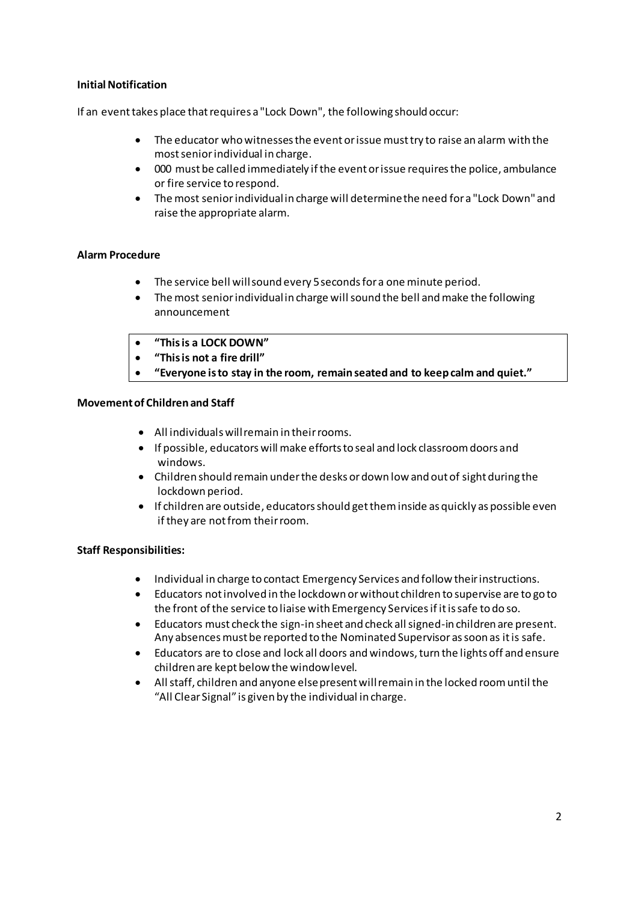#### **Initial Notification**

If an event takes place that requires a "Lock Down", the following should occur:

- The educator who witnesses the event or issue must try to raise an alarm with the most senior individual in charge.
- 000 must be called immediately if the event or issue requires the police, ambulance or fire service to respond.
- The most senior individual in charge will determine the need for a "Lock Down" and raise the appropriate alarm.

#### **Alarm Procedure**

- The service bell will sound every 5 seconds for a one minute period.
- The most senior individual in charge will sound the bell and make the following announcement
- **͞This is a LOCK DOWN͟**
- "This is not a fire drill"
	- "Everyone is to stay in the room, remain seated and to keep calm and quiet."

#### **Movement of Children and Staff**

- All individuals will remain in their rooms.
- If possible, educators will make efforts to seal and lock classroom doors and windows.
- Children should remain under the desks or down low and out of sight during the lockdown period.
- If children are outside, educators should get them inside as quickly as possible even if they are not from their room.

#### **Staff Responsibilities:**

- Individual in charge to contact Emergency Services and follow their instructions.
- Educators not involved in the lockdown or without children to supervise are to go to the front of the service to liaise with Emergency Services if it is safe to do so.
- Educators must check the sign-in sheet and check all signed-in children are present. Any absences must be reported to the Nominated Supervisor as soon as it is safe.
- Educators are to close and lock all doors and windows, turn the lights off and ensure children are kept below the window level.
- All staff, children and anyone else present will remain in the locked room until the "All Clear Signal" is given by the individual in charge.